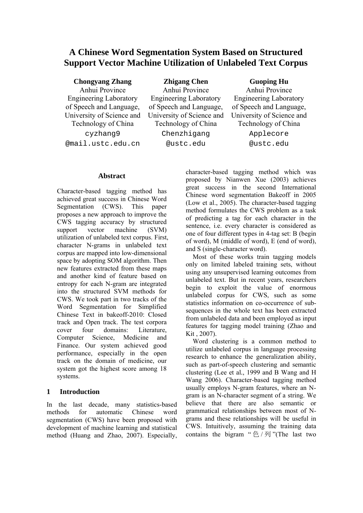# **A Chinese Word Segmentation System Based on Structured Support Vector Machine Utilization of Unlabeled Text Corpus**

**Chongyang Zhang**

Anhui Province Engineering Laboratory of Speech and Language, University of Science and Technology of China cyzhang9 @mail.ustc.edu.cn

**Zhigang Chen**  Anhui Province Engineering Laboratory of Speech and Language, University of Science and Technology of China Chenzhigang @ustc.edu

**Guoping Hu** 

Anhui Province Engineering Laboratory of Speech and Language, University of Science and Technology of China Applecore @ustc.edu

### **Abstract**

Character-based tagging method has achieved great success in Chinese Word Segmentation (CWS). This paper proposes a new approach to improve the CWS tagging accuracy by structured support vector machine (SVM) utilization of unlabeled text corpus. First, character N-grams in unlabeled text corpus are mapped into low-dimensional space by adopting SOM algorithm. Then new features extracted from these maps and another kind of feature based on entropy for each N-gram are integrated into the structured SVM methods for CWS. We took part in two tracks of the Word Segmentation for Simplified Chinese Text in bakeoff-2010: Closed track and Open track. The test corpora cover four domains: Literature, Computer Science, Medicine and Finance. Our system achieved good performance, especially in the open track on the domain of medicine, our system got the highest score among 18 systems.

# **1 Introduction**

In the last decade, many statistics-based methods for automatic Chinese word segmentation (CWS) have been proposed with development of machine learning and statistical method (Huang and Zhao, 2007). Especially,

character-based tagging method which was proposed by Nianwen Xue (2003) achieves great success in the second International Chinese word segmentation Bakeoff in 2005 (Low et al., 2005). The character-based tagging method formulates the CWS problem as a task of predicting a tag for each character in the sentence, i.e. every character is considered as one of four different types in 4-tag set: B (begin of word), M (middle of word), E (end of word), and S (single-character word).

Most of these works train tagging models only on limited labeled training sets, without using any unsupervised learning outcomes from unlabeled text. But in recent years, researchers begin to exploit the value of enormous unlabeled corpus for CWS, such as some statistics information on co-occurrence of subsequences in the whole text has been extracted from unlabeled data and been employed as input features for tagging model training (Zhao and Kit , 2007).

Word clustering is a common method to utilize unlabeled corpus in language processing research to enhance the generalization ability, such as part-of-speech clustering and semantic clustering (Lee et al*.*, 1999 and B Wang and H Wang 2006). Character-based tagging method usually employs N-gram features, where an Ngram is an N-character segment of a string. We believe that there are also semantic or grammatical relationships between most of Ngrams and these relationships will be useful in CWS. Intuitively, assuming the training data contains the bigram "  $\hat{E}/\bar{y}$ ] "(The last two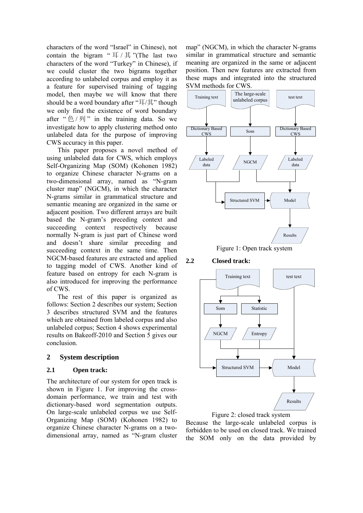characters of the word "Israel" in Chinese), not contain the bigram " $\overline{F}/\overline{F}$ "(The last two characters of the word "Turkey" in Chinese), if we could cluster the two bigrams together according to unlabeled corpus and employ it as a feature for supervised training of tagging model, then maybe we will know that there should be a word boundary after "耳/其" though we only find the existence of word boundary after " $\triangle$  /  $\overline{y}$ " in the training data. So we investigate how to apply clustering method onto unlabeled data for the purpose of improving CWS accuracy in this paper.

This paper proposes a novel method of using unlabeled data for CWS, which employs Self-Organizing Map (SOM) (Kohonen 1982) to organize Chinese character N-grams on a two-dimensional array, named as "N-gram cluster map" (NGCM), in which the character N-grams similar in grammatical structure and semantic meaning are organized in the same or adjacent position. Two different arrays are built based the N-gram's preceding context and succeeding context respectively because normally N-gram is just part of Chinese word and doesn't share similar preceding and succeeding context in the same time. Then NGCM-based features are extracted and applied to tagging model of CWS. Another kind of feature based on entropy for each N-gram is also introduced for improving the performance of CWS.

The rest of this paper is organized as follows: Section 2 describes our system; Section 3 describes structured SVM and the features which are obtained from labeled corpus and also unlabeled corpus; Section 4 shows experimental results on Bakeoff-2010 and Section 5 gives our conclusion.

# **2 System description**

#### **2.1 Open track:**

The architecture of our system for open track is shown in Figure 1. For improving the crossdomain performance, we train and test with dictionary-based word segmentation outputs. On large-scale unlabeled corpus we use Self-Organizing Map (SOM) (Kohonen 1982) to organize Chinese character N-grams on a twodimensional array, named as "N-gram cluster map" (NGCM), in which the character N-grams similar in grammatical structure and semantic meaning are organized in the same or adjacent position. Then new features are extracted from these maps and integrated into the structured SVM methods for CWS.



Figure 1: Open track system

**2.2 Closed track:** 





Because the large-scale unlabeled corpus is forbidden to be used on closed track. We trained the SOM only on the data provided by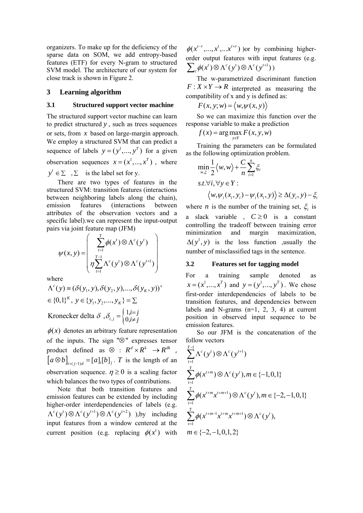organizers. To make up for the deficiency of the sparse data on SOM, we add entropy-based features (ETF) for every N-gram to structured SVM model. The architecture of our system for close track is shown in Figure 2.

#### **3 Learning algorithm**

#### **3.1 Structured support vector machine**

The structured support vector machine can learn to predict structured *y* , such as trees sequences or sets, from *x* based on large-margin approach. We employ a structured SVM that can predict a sequence of labels  $y = (y^1, ..., y^T)$  for a given observation sequences  $x = (x^1, ..., x^T)$ , where  $y' \in \Sigma$ ,  $\Sigma$  is the label set for y.

There are two types of features in the structured SVM: transition features (interactions between neighboring labels along the chain), emission features (interactions between attributes of the observation vectors and a specific label).we can represent the input-output pairs via joint feature map (JFM)

$$
\psi(x, y) = \begin{pmatrix} \sum_{t=1}^{T} \phi(x^t) \otimes \Lambda^c(y^t) \\ \eta \sum_{t=1}^{T-1} \Lambda^c(y^t) \otimes \Lambda^c(y^{t+1}) \end{pmatrix}
$$

where

$$
\Lambda^{c}(y) \equiv (\delta(y_{1}, y), \delta(y_{2}, y), ..., \delta(y_{K}, y))'
$$
  

$$
\in \{0, 1\}^{K}, y \in \{y_{1}, y_{2}, ..., y_{K}\} = \Sigma
$$
  
Kronecker delta  $\delta$ ,  $\delta_{i,j} = \begin{cases} 1, i=j\\ 0, i \neq j \end{cases}$ 

 $\phi(x)$  denotes an arbitrary feature representation of the inputs. The sign " $\otimes$ " expresses tensor product defined as  $\otimes$  :  $R^d \times R^k \to R^{dk}$ ,  $[a \otimes b]_{i+(i-1)d} = [a]_i [b]_j$ . *T* is the length of an observation sequence.  $\eta \ge 0$  is a scaling factor which balances the two types of contributions.

Note that both transition features and emission features can be extended by including higher-order interdependencies of labels (e.g.  $\Lambda^{c}(y') \otimes \Lambda^{c}(y'^{t+1}) \otimes \Lambda^{c}(y'^{t+2})$  ), by including input features from a window centered at the current position (e.g. replacing  $\phi(x^t)$  with

 $\phi(x^{t-r},...,x^{t},...x^{t+r})$  or by combining higherorder output features with input features (e.g.  $\sum_{t} \phi(x^{t}) \otimes \Lambda^{c}(y^{t}) \otimes \Lambda^{c}(y^{t+1})$ 

The w-parametrized discriminant function  $F: X \times Y \to R$  interpreted as measuring the compatibility of x and y is defined as:

$$
F(x, y; w) = \langle w, \psi(x, y) \rangle
$$

So we can maximize this function over the response variable to make a prediction

 $f(x) = \arg \max_{y \in Y} F(x, y, w)$  $y \in Y$ 

Training the parameters can be formulated as the following optimization problem.

$$
\min_{w,\xi} \frac{1}{2} \langle w, w \rangle + \frac{C}{n} \sum_{i=1}^{n} \xi_i
$$
  
s.t.  $\forall i, \forall y \in Y : \langle w, \psi_i(x_i, y_i) - \psi_i(x_i, y) \rangle \ge \Delta(y_i, y) - \xi_i$ 

where *n* is the number of the training set,  $\xi$  is a slack variable ,  $C \ge 0$  is a constant controlling the tradeoff between training error minimization and margin maximization,  $\Delta(y^1, y)$  is the loss function ,usually the number of misclassified tags in the sentence.

#### **3.2 Features set for tagging model**

For a training sample denoted as  $x = (x^1, ..., x^T)$  and  $y = (y^1, ..., y^T)$ . We chose first-order interdependencies of labels to be transition features, and dependencies between labels and N-grams  $(n=1, 2, 3, 4)$  at current position in observed input sequence to be emission features.

So our JFM is the concatenation of the follow vectors

$$
\sum_{t=1}^{T-1} \Lambda^{c}(y^{t}) \otimes \Lambda^{c}(y^{t+1})
$$
\n
$$
\sum_{t=1}^{T} \phi(x^{t+m}) \otimes \Lambda^{c}(y^{t}), m \in \{-1, 0, 1\}
$$
\n
$$
\sum_{t=1}^{T} \phi(x^{t+m}x^{t+m+1}) \otimes \Lambda^{c}(y^{t}), m \in \{-2, -1, 0, 1\}
$$
\n
$$
\sum_{t=1}^{T} \phi(x^{t+m-1}x^{t+m}x^{t+m+1}) \otimes \Lambda^{c}(y^{t}),
$$
\n
$$
m \in \{-2, -1, 0, 1, 2\}
$$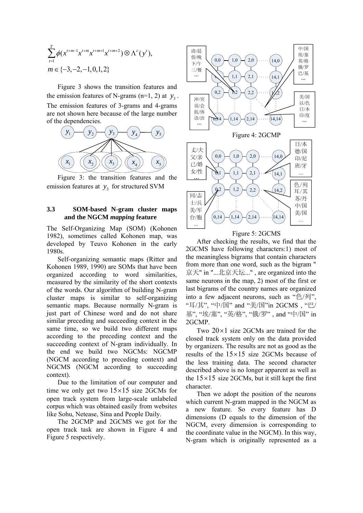$$
\sum_{t=1}^{T} \phi(x^{t+m-1} x^{t+m} x^{t+m+1} x^{t+m+2}) \otimes \Lambda^{c}(y^{t}),
$$
  

$$
m \in \{-3, -2, -1, 0, 1, 2\}
$$

Figure 3 shows the transition features and the emission features of N-grams (n=1, 2) at  $y_3$ . The emission features of 3-grams and 4-grams are not shown here because of the large number of the dependencies.



Figure 3: the transition features and the emission features at  $y_3$  for structured SVM

#### **3.3 SOM-based N-gram cluster maps and the NGCM** *mapping* **feature**

The Self-Organizing Map (SOM) (Kohonen 1982), sometimes called Kohonen map, was developed by Teuvo Kohonen in the early 1980s.

Self-organizing semantic maps (Ritter and Kohonen 1989, 1990) are SOMs that have been organized according to word similarities, measured by the similarity of the short contexts of the words. Our algorithm of building N-gram cluster maps is similar to self-organizing semantic maps. Because normally N-gram is just part of Chinese word and do not share similar preceding and succeeding context in the same time, so we build two different maps according to the preceding context and the succeeding context of N-gram individually. In the end we build two NGCMs: NGCMP (NGCM according to preceding context) and NGCMS (NGCM according to succeeding context).

Due to the limitation of our computer and time we only get two  $15 \times 15$  size 2GCMs for open track system from large-scale unlabeled corpus which was obtained easily from websites like Sohu, Netease, Sina and People Daily.

The 2GCMP and 2GCMS we got for the open track task are shown in Figure 4 and Figure 5 respectively.



Figure 5: 2GCMS

After checking the results, we find that the 2GCMS have following characters:1) most of the meaningless bigrams that contain characters from more than one word, such as the bigram " 京天" in "...北京天坛..." , are organized into the same neurons in the map, 2) most of the first or last bigrams of the country names are organized into a few adjacent neurons, such as "色/列", "耳/其", "中/国" and "美/国"in 2GCMS , "巴/ 基", "埃/塞", "英/格", "俄/罗" , and "中/国" in 2GCMP.

Two  $20 \times 1$  size 2GCMs are trained for the closed track system only on the data provided by organizers. The results are not as good as the results of the  $15 \times 15$  size 2GCMs because of the less training data. The second character described above is no longer apparent as well as the  $15 \times 15$  size 2GCMs, but it still kept the first character.

Then we adopt the position of the neurons which current N-gram mapped in the NGCM as a new feature. So every feature has D dimensions (D equals to the dimension of the NGCM, every dimension is corresponding to the coordinate value in the NGCM). In this way, N-gram which is originally represented as a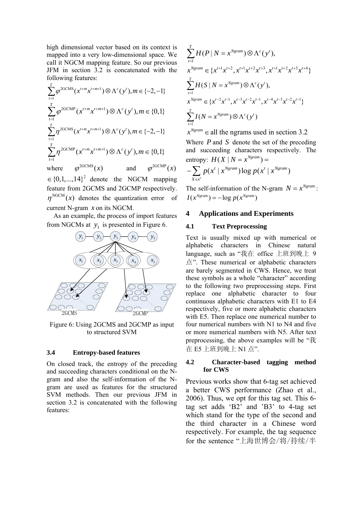high dimensional vector based on its context is mapped into a very low-dimensional space. We call it NGCM mapping feature. So our previous JFM in section 3.2 is concatenated with the following features:

$$
\sum_{t=1}^{T} \varphi^{2GCMS}(x^{t+m}x^{t+m+1}) \otimes \Lambda^{c}(y^{t}), m \in \{-2, -1\}
$$
  

$$
\sum_{t=1}^{T} \varphi^{2GCMP}(x^{t+m}x^{t+m+1}) \otimes \Lambda^{c}(y^{t}), m \in \{0, 1\}
$$
  

$$
\sum_{t=1}^{T} \eta^{2GCMS}(x^{t+m}x^{t+m+1}) \otimes \Lambda^{c}(y^{t}), m \in \{-2, -1\}
$$
  

$$
\sum_{t=1}^{T} \eta^{2GCMP}(x^{t+m}x^{t+m+1}) \otimes \Lambda^{c}(y^{t}), m \in \{0, 1\}
$$
  
where  $\varphi^{2GCMS}(x)$  and  $\varphi^{2GCMP}(x)$ 

 $\in \{0,1,...,14\}^2$  denote the NGCM mapping feature from 2GCMS and 2GCMP respectively.  $\eta^{\text{NGCM}}(x)$  denotes the quantization error of current N-gram *x* on its NGCM.

As an example, the process of import features from NGCMs at  $y_3$  is presented in Figure 6.



Figure 6: Using 2GCMS and 2GCMP as input to structured SVM

#### **3.4 Entropy-based features**

On closed track, the entropy of the preceding and succeeding characters conditional on the Ngram and also the self-information of the Ngram are used as features for the structured SVM methods. Then our previous JFM in section 3.2 is concatenated with the following features:

$$
\sum_{t=1}^{T} H(P | N = x^{Ngram}) \otimes \Lambda^{c}(y^{t}),
$$
\n
$$
x^{Ngram} \in \{x^{t+1}x^{t+2}, x^{t+1}x^{t+2}x^{t+3}, x^{t+1}x^{t+2}x^{t+3}x^{t+4}\}
$$
\n
$$
\sum_{t=1}^{T} H(S | N = x^{Ngram}) \otimes \Lambda^{c}(y^{t}),
$$
\n
$$
x^{Ngram} \in \{x^{t-2}x^{t-1}, x^{t-3}x^{t-2}x^{t-1}, x^{t-4}x^{t-3}x^{t-2}x^{t-1}\}
$$
\n
$$
\sum_{t=1}^{T} I(N = x^{Ngram}) \otimes \Lambda^{c}(y^{t})
$$

 $x^{Ngram} \in$  all the ngrams used in section 3.2 Where *P* and *S* denote the set of the preceding and succeeding characters respectively. The entropy:  $H(X | N = x^{Ngram}) =$ 

$$
-\sum_{X\in x'} p(x^t | x^{Ngram}) \log p(x^t | x^{Ngram})
$$

The self-information of the N-gram  $N = x^{Ngram}$ :  $I(x^{Ngram}) = -\log p(x^{Ngram})$ 

#### **4 Applications and Experiments**

#### **4.1 Text Preprocessing**

Text is usually mixed up with numerical or alphabetic characters in Chinese natural language, such as "我在 office 上班到晚上 9 点". These numerical or alphabetic characters are barely segmented in CWS. Hence, we treat these symbols as a whole "character" according to the following two preprocessing steps. First replace one alphabetic character to four continuous alphabetic characters with E1 to E4 respectively, five or more alphabetic characters with E5. Then replace one numerical number to four numerical numbers with N1 to N4 and five or more numerical numbers with N5. After text preprocessing, the above examples will be "我 在 E5 上班到晚上 N1 点".

#### **4.2 Character-based tagging method for CWS**

Previous works show that 6-tag set achieved a better CWS performance (Zhao et al., 2006). Thus, we opt for this tag set. This 6 tag set adds 'B2' and 'B3' to 4-tag set which stand for the type of the second and the third character in a Chinese word respectively. For example, the tag sequence for the sentence "上海世博会/将/持续/半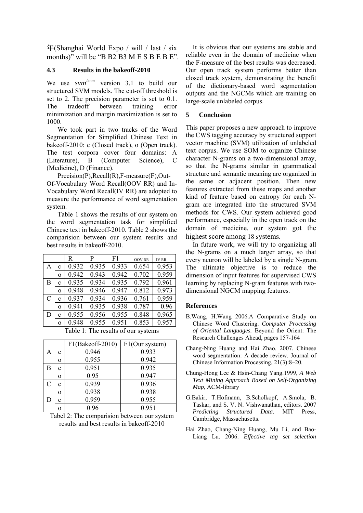年(Shanghai World Expo / will / last / six months)" will be "B B2 B3 M E S B E B E".

#### **4.3 Results in the bakeoff-2010**

We use *svm*<sup>hmm</sup> version 3.1 to build our structured SVM models. The cut-off threshold is set to 2. The precision parameter is set to 0.1. The tradeoff between training error minimization and margin maximization is set to 1000.

We took part in two tracks of the Word Segmentation for Simplified Chinese Text in bakeoff-2010: c (Closed track), o (Open track). The test corpora cover four domains: A (Literature), B (Computer Science), C (Medicine), D (Finance).

Precision(P),Recall(R),F-measure(F),Out-Of-Vocabulary Word Recall(OOV RR) and In-Vocabulary Word Recall(IV RR) are adopted to measure the performance of word segmentation system.

Table 1 shows the results of our system on the word segmentation task for simplified Chinese text in bakeoff-2010. Table 2 shows the comparision between our system results and best results in bakeoff-2010.

|             | $\mathbf R$ | P     | F <sub>1</sub> | <b>OOV RR</b> | <b>IV RR</b> |
|-------------|-------------|-------|----------------|---------------|--------------|
| $\mathbf c$ | 0.932       | 0.935 | 0.933          | 0.654         | 0.953        |
| $\Omega$    | 0.942       | 0.943 | 0.942          | 0.702         | 0.959        |
| $\mathbf c$ | 0.935       | 0.934 | 0.935          | 0.792         | 0.961        |
| $\Omega$    | 0.948       | 0.946 | 0.947          | 0.812         | 0.973        |
| C           | 0.937       | 0.934 | 0.936          | 0.761         | 0.959        |
| $\Omega$    | 0.941       | 0.935 | 0.938          | 0.787         | 0.96         |
| c           | 0.955       | 0.956 | 0.955          | 0.848         | 0.965        |
| $\Omega$    | 0.948       | 0.955 | 0.951          | 0.853         | 0.957        |
|             |             |       |                |               |              |

Table 1: The results of our systems

|   |             | F1(Bakeoff-2010) | F1(Our system) |
|---|-------------|------------------|----------------|
| A | c           | 0.946            | 0.933          |
|   | $\Omega$    | 0.955            | 0.942          |
| B | c           | 0.951            | 0.935          |
|   | 0           | 0.95             | 0.947          |
| C | с           | 0.939            | 0.936          |
|   | $\Omega$    | 0.938            | 0.938          |
| D | $\mathbf c$ | 0.959            | 0.955          |
|   |             | 0.96             | 0.951          |

Tabel 2: The comparision between our system results and best results in bakeoff-2010

It is obvious that our systems are stable and reliable even in the domain of medicine when the F-measure of the best results was decreased. Our open track system performs better than closed track system, demonstrating the benefit of the dictionary-based word segmentation outputs and the NGCMs which are training on large-scale unlabeled corpus.

### **5 Conclusion**

This paper proposes a new approach to improve the CWS tagging accuracy by structured support vector machine (SVM) utilization of unlabeled text corpus. We use SOM to organize Chinese character N-grams on a two-dimensional array, so that the N-grams similar in grammatical structure and semantic meaning are organized in the same or adjacent position. Then new features extracted from these maps and another kind of feature based on entropy for each Ngram are integrated into the structured SVM methods for CWS. Our system achieved good performance, especially in the open track on the domain of medicine, our system got the highest score among 18 systems.

In future work, we will try to organizing all the N-grams on a much larger array, so that every neuron will be labeled by a single N-gram. The ultimate objective is to reduce the dimension of input features for supervised CWS learning by replacing N-gram features with twodimensional NGCM mapping features.

#### **References**

- B.Wang, H.Wang 2006.A Comparative Study on Chinese Word Clustering. *Computer Processing of Oriental Languages.* Beyond the Orient: The Research Challenges Ahead, pages 157-164
- Chang-Ning Huang and Hai Zhao. 2007. Chinese word segmentation: A decade review. Journal of Chinese Information Processing, 21(3):8–20.
- Chung-Hong Lee & Hsin-Chang Yang.1999, *A Web Text Mining Approach Based on Self-Organizing Map*, ACM-library
- G.Bakir, T.Hofmann, B.Scholkopf, A.Smola, B. Taskar, and S. V. N. Vishwanathan, editors. 2007 *Predicting Structured Data*. MIT Press, Cambridge, Massachusetts.
- Hai Zhao, Chang-Ning Huang, Mu Li, and Bao-Liang Lu. 2006. *Effective tag set selection*